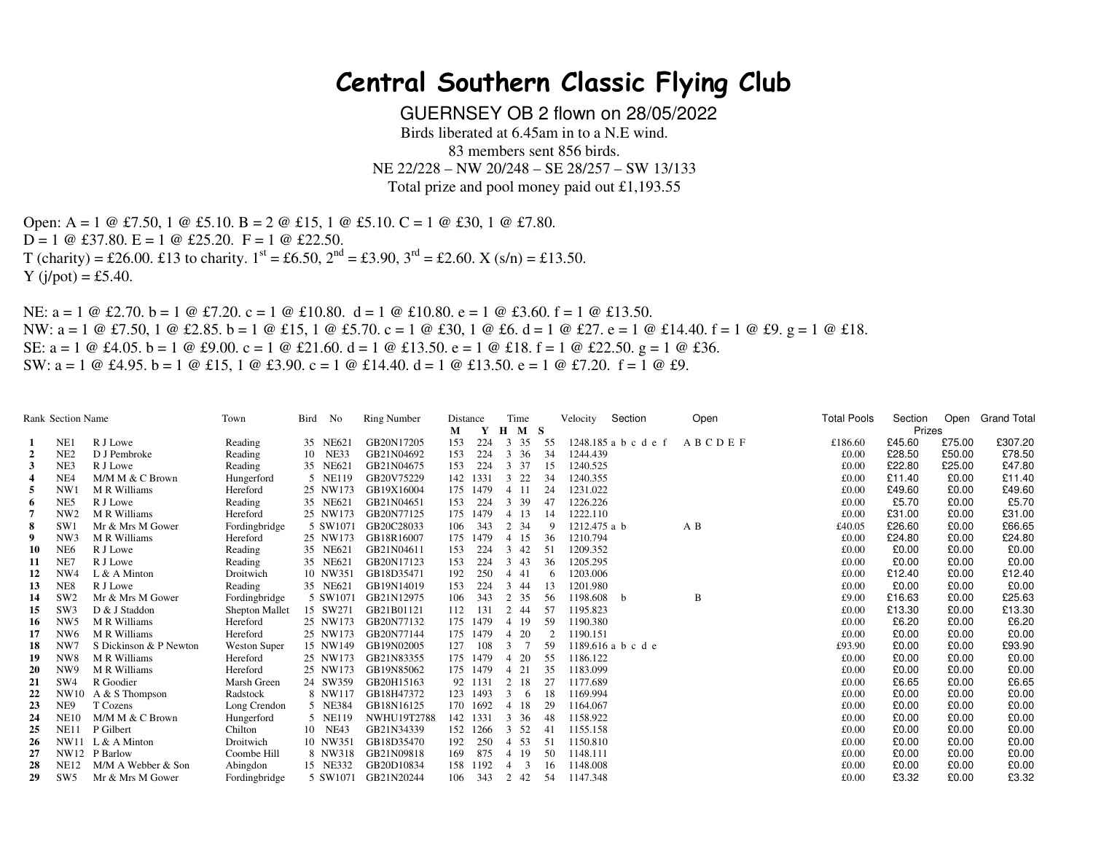## **Central Southern Classic Flying Club**

GUERNSEY OB 2 flown on 28/05/2022 Birds liberated at 6.45am in to a N.E wind. 83 members sent 856 birds. NE 22/228 – NW 20/248 – SE 28/257 – SW 13/133 Total prize and pool money paid out £1,193.55

Open: A = 1  $\circledcirc$  £7.50, 1  $\circledcirc$  £5.10. B = 2  $\circledcirc$  £15, 1  $\circledcirc$  £5.10. C = 1  $\circledcirc$  £30, 1  $\circledcirc$  £7.80.  $D = 1 \oplus \text{\pounds}37.80$ .  $E = 1 \oplus \text{\pounds}25.20$ .  $F = 1 \oplus \text{\pounds}22.50$ . T (charity) = £26.00. £13 to charity.  $1^{st}$  = £6.50,  $2^{nd}$  = £3.90,  $3^{rd}$  = £2.60. X (s/n) = £13.50.  $Y$  (j/pot) = £5.40.

NE:  $a = 1 \oplus \pounds 2.70$ .  $b = 1 \oplus \pounds 7.20$ .  $c = 1 \oplus \pounds 10.80$ .  $d = 1 \oplus \pounds 10.80$ .  $e = 1 \oplus \pounds 3.60$ .  $f = 1 \oplus \pounds 13.50$ . NW: a = 1 @ £7.50, 1 @ £2.85. b = 1 @ £15, 1 @ £5.70. c = 1 @ £30, 1 @ £6. d = 1 @ £27. e = 1 @ £14.40. f = 1 @ £9. g = 1 @ £18. SE:  $a = 1 \oplus 4.05$ .  $b = 1 \oplus 4.00$ .  $c = 1 \oplus 21.60$ .  $d = 1 \oplus 13.50$ .  $e = 1 \oplus 18$ .  $f = 1 \oplus 22.50$ .  $g = 1 \oplus 436$ . SW:  $a = 1 \text{ } \textcircled{e}$  £4.95.  $b = 1 \text{ } \textcircled{e}$  £15, 1  $\textcircled{e}$  £3.90.  $c = 1 \text{ } \textcircled{e}$  £14.40.  $d = 1 \text{ } \textcircled{e}$  £13.50.  $e = 1 \text{ } \textcircled{e}$  £7.20.  $f = 1 \text{ } \textcircled{e}$  £9.

| Rank Section Name |                 | Town                   | Bird                | No | <b>Ring Number</b> | Distance           |     | Time     |                |        | Velocity | Section      | Open                 | <b>Total Pools</b> | Section | Open   | <b>Grand Total</b> |         |
|-------------------|-----------------|------------------------|---------------------|----|--------------------|--------------------|-----|----------|----------------|--------|----------|--------------|----------------------|--------------------|---------|--------|--------------------|---------|
|                   |                 |                        |                     |    |                    | М                  | Y   | $\bf H$  | M <sub>S</sub> |        |          |              |                      |                    | Prizes  |        |                    |         |
| -1                | NE1             | R J Lowe               | Reading             |    | 35 NE621           | GB20N17205         | 153 | 224      | 3              | 35     | - 55     |              | 1248.185 a b c d e f | ABCDEF             | £186.60 | £45.60 | £75.00             | £307.20 |
| $\overline{2}$    | NE <sub>2</sub> | D J Pembroke           | Reading             |    | 10 NE33            | GB21N04692         | 153 | 224      | 3 36           |        | - 34     | 1244.439     |                      |                    | £0.00   | £28.50 | £50.00             | £78.50  |
| 3                 | NE3             | R J Lowe               | Reading             |    | 35 NE621           | GB21N04675         | 153 | 224      | 3 37           |        | 15       | 1240.525     |                      |                    | £0.00   | £22.80 | £25.00             | £47.80  |
| $\overline{4}$    | NE <sub>4</sub> | M/M M & C Brown        | Hungerford          |    | 5 NE119            | GB20V75229         | 142 | 1331     | 3 22           |        | 34       | 1240.355     |                      |                    | £0.00   | £11.40 | £0.00              | £11.40  |
| 5                 | NW1             | M R Williams           | Hereford            |    | 25 NW173           | GB19X16004         | 175 | 1479     | 4 11           |        | 24       | 1231.022     |                      |                    | £0.00   | £49.60 | £0.00              | £49.60  |
| 6                 | NE5             | R J Lowe               | Reading             |    | 35 NE621           | GB21N04651         | 153 | 224      | 3              | 39     | 47       | 1226.226     |                      |                    | £0.00   | £5.70  | £0.00              | £5.70   |
|                   | NW <sub>2</sub> | M R Williams           | Hereford            |    | 25 NW173           | GB20N77125         |     | 175 1479 | 4 13           |        | -14      | 1222.110     |                      |                    | £0.00   | £31.00 | £0.00              | £31.00  |
| 8                 | SW1             | Mr & Mrs M Gower       | Fordingbridge       |    | 5 SW1071           | GB20C28033         | 106 | 343      | 2 34           |        | 9        | 1212.475 a b |                      | A B                | £40.05  | £26.60 | £0.00              | £66.65  |
| -9                | NW <sub>3</sub> | M R Williams           | Hereford            |    | 25 NW173           | GB18R16007         | 175 | 1479     | 4 15           |        | -36      | 1210.794     |                      |                    | £0.00   | £24.80 | £0.00              | £24.80  |
| 10                | NE <sub>6</sub> | R J Lowe               | Reading             |    | 35 NE621           | GB21N04611         | 153 | 224      | $3 \quad 42$   |        | 51       | 1209.352     |                      |                    | £0.00   | £0.00  | £0.00              | £0.00   |
| 11                | NE7             | R J Lowe               | Reading             |    | 35 NE621           | GB20N17123         | 153 | 224      | $3 \quad 43$   |        | 36       | 1205.295     |                      |                    | £0.00   | £0.00  | £0.00              | £0.00   |
| 12                | NW <sub>4</sub> | $L & A$ Minton         | Droitwich           |    | 10 NW351           | GB18D35471         | 192 | 250      | 4 4 1          |        |          | 1203.006     |                      |                    | £0.00   | £12.40 | £0.00              | £12.40  |
| 13                | NE <sub>8</sub> | R J Lowe               | Reading             |    | 35 NE621           | GB19N14019         | 153 | -224     | 3 44           |        | 13       | 1201.980     |                      |                    | £0.00   | £0.00  | £0.00              | £0.00   |
| 14                | SW <sub>2</sub> | Mr & Mrs M Gower       | Fordingbridge       |    | 5 SW1071           | GB21N12975         | 106 | 343      | 2 35           |        | -56      | 1198.608     | b                    | B                  | £9.00   | £16.63 | £0.00              | £25.63  |
| 15                | SW3             | D & J Staddon          | Shepton Mallet      |    | 15 SW271           | GB21B01121         | 112 | 131      | 2 44           |        | 57       | 1195.823     |                      |                    | £0.00   | £13.30 | £0.00              | £13.30  |
| -16               | NW <sub>5</sub> | M R Williams           | Hereford            |    | 25 NW173           | GB20N77132         | 175 | 1479     | 4 19           |        | 59       | 1190.380     |                      |                    | £0.00   | £6.20  | £0.00              | £6.20   |
| 17                | NW <sub>6</sub> | M R Williams           | Hereford            |    | 25 NW173           | GB20N77144         | 175 | 1479     | 4 20           |        |          | 1190.151     |                      |                    | £0.00   | £0.00  | £0.00              | £0.00   |
| 18                | NW7             | S Dickinson & P Newton | <b>Weston Super</b> |    | 15 NW149           | GB19N02005         | 127 | 108      | 3              | $\tau$ | 59       |              | 1189.616 a b c d e   |                    | £93.90  | £0.00  | £0.00              | £93.90  |
| 19                | NW <sub>8</sub> | M R Williams           | Hereford            |    | 25 NW173           | GB21N83355         | 175 | 1479     | $4\quad20$     |        | 55       | 1186.122     |                      |                    | £0.00   | £0.00  | £0.00              | £0.00   |
| 20                | NW9             | M R Williams           | Hereford            |    | 25 NW173           | GB19N85062         |     | 175 1479 | 21             |        | 35       | 1183.099     |                      |                    | £0.00   | £0.00  | £0.00              | £0.00   |
| 21                | SW4             | R Goodier              | Marsh Green         |    | 24 SW359           | GB20H15163         |     | 92 1131  | 2 18           |        | 27       | 1177.689     |                      |                    | £0.00   | £6.65  | £0.00              | £6.65   |
| 22                | NW10            | A & S Thompson         | Radstock            |    | 8 NW117            | GB18H47372         |     | 123 1493 | 3              | 6      | 18       | 1169.994     |                      |                    | £0.00   | £0.00  | £0.00              | £0.00   |
| 23                | NE9             | T Cozens               | Long Crendon        |    | 5 NE384            | GB18N16125         |     | 170 1692 | 4 18           |        | 29       | 1164.067     |                      |                    | £0.00   | £0.00  | £0.00              | £0.00   |
| 24                | <b>NE10</b>     | M/M M & C Brown        | Hungerford          |    | 5 NE119            | <b>NWHU19T2788</b> |     | 142 1331 | 3              | 36     | 48       | 1158.922     |                      |                    | £0.00   | £0.00  | £0.00              | £0.00   |
| 25                | NE11            | P Gilbert              | Chilton             |    | 10 NE43            | GB21N34339         |     | 152 1266 | 3 52           |        | 41       | 1155.158     |                      |                    | £0.00   | £0.00  | £0.00              | £0.00   |
| 26                | <b>NW11</b>     | $L & A$ Minton         | Droitwich           |    | 10 NW351           | GB18D35470         | 192 | 250      | 4 53           |        | 51       | 1150.810     |                      |                    | £0.00   | £0.00  | £0.00              | £0.00   |
| 27                |                 | NW12 P Barlow          | Coombe Hill         |    | 8 NW318            | GB21N09818         | 169 | 875      | 4 19           |        | 50       | 1148.111     |                      |                    | £0.00   | £0.00  | £0.00              | £0.00   |
| 28                | <b>NE12</b>     | M/M A Webber & Son     | Abingdon            |    | 15 NE332           | GB20D10834         | 158 | 1192     |                | 3      | 16       | 1148.008     |                      |                    | £0.00   | £0.00  | £0.00              | £0.00   |
| 29                | SW <sub>5</sub> | Mr & Mrs M Gower       | Fordingbridge       |    | 5 SW1071           | GB21N20244         | 106 | 343      | 2              | 42     | -54      | 1147.348     |                      |                    | £0.00   | £3.32  | £0.00              | £3.32   |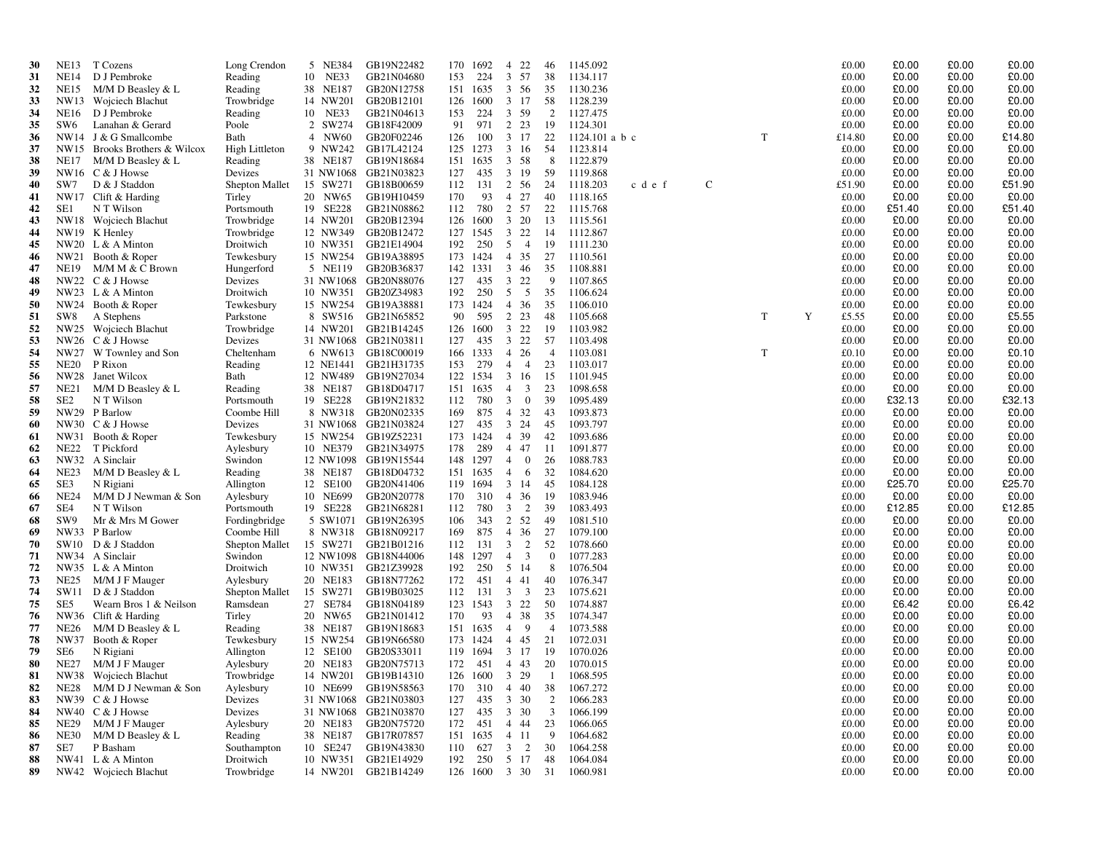| 30       | <b>NE13</b>     | T Cozens                                      | Long Crendon                 | 5 NE384              | GB19N22482                                  |            | 170 1692            | $\overline{4}$      | 22                      | 46                      | 1145.092             |             |   |   | £0.00          | £0.00           | £0.00          | £0.00           |
|----------|-----------------|-----------------------------------------------|------------------------------|----------------------|---------------------------------------------|------------|---------------------|---------------------|-------------------------|-------------------------|----------------------|-------------|---|---|----------------|-----------------|----------------|-----------------|
| 31       | NE14            | D J Pembroke                                  | Reading                      | 10 NE33              | GB21N04680                                  | 153        | 224                 | 3 57                |                         | 38                      | 1134.117             |             |   |   | £0.00          | £0.00           | £0.00          | £0.00           |
| 32       | <b>NE15</b>     | M/M D Beasley & L                             | Reading                      | 38 NE187             | GB20N12758                                  |            | 151 1635            | 3 56                |                         | 35                      | 1130.236             |             |   |   | £0.00          | £0.00           | £0.00          | £0.00           |
| 33       |                 | NW13 Wojciech Blachut                         | Trowbridge                   | 14 NW201             | GB20B12101                                  |            | 126 1600 3 17       |                     |                         | 58                      | 1128.239             |             |   |   | £0.00          | £0.00           | £0.00          | £0.00           |
| 34       | NE16            | D J Pembroke                                  | Reading                      | 10 NE33              | GB21N04613                                  | 153        | 224                 | 3 59                |                         | 2                       | 1127.475             |             |   |   | £0.00          | £0.00           | £0.00          | £0.00           |
| 35       | SW <sub>6</sub> | Lanahan & Gerard                              | Poole                        | 2 SW274              | GB18F42009                                  | 91         | 971                 | 2 2 3               |                         | 19                      | 1124.301             |             |   |   | £0.00          | £0.00           | £0.00          | £0.00           |
| 36       |                 | NW14 J & G Smallcombe                         | Bath                         | 4 NW60               | GB20F02246                                  | 126        | 100                 | 3 17                |                         | 22                      | 1124.101 a b c       |             | T |   | £14.80         | £0.00           | £0.00          | £14.80          |
| 37       |                 | NW15 Brooks Brothers & Wilcox                 | High Littleton               | 9 NW242              | GB17L42124                                  |            | 125 1273            | 3 16                |                         | -54                     | 1123.814             |             |   |   | £0.00          | £0.00           | £0.00          | £0.00           |
| 38<br>39 | NE17            | $M/M$ D Beasley & L<br>NW16 C & J Howse       | Reading<br>Devizes           | 38 NE187             | GB19N18684<br>31 NW1068 GB21N03823          | 127        | 151 1635<br>435     | 3 58<br>3 19        |                         | 8<br>59                 | 1122.879<br>1119.868 |             |   |   | £0.00<br>£0.00 | £0.00<br>£0.00  | £0.00<br>£0.00 | £0.00<br>£0.00  |
| 40       | SW7             | D & J Staddon                                 | <b>Shepton Mallet</b>        | 15 SW271             | GB18B00659                                  | 112        | 131                 | 2 56                |                         | 24                      | 1118.203<br>c d e f  | $\mathbf C$ |   |   | £51.90         | £0.00           | £0.00          | £51.90          |
| 41       |                 | NW17 Clift & Harding                          | Tirley                       | 20 NW65              | GB19H10459                                  | 170        | 93                  | 4 27                |                         | 40                      | 1118.165             |             |   |   | £0.00          | £0.00           | £0.00          | £0.00           |
| 42       | SE <sub>1</sub> | N T Wilson                                    | Portsmouth                   | 19 SE228             | GB21N08862                                  | 112        | 780                 | 2 57                |                         | 22                      | 1115.768             |             |   |   | £0.00          | £51.40          | £0.00          | £51.40          |
| 43       |                 | NW18 Wojciech Blachut                         | Trowbridge                   | 14 NW201             | GB20B12394                                  | 126        | 1600                | 3 20                |                         | 13                      | 1115.561             |             |   |   | £0.00          | £0.00           | £0.00          | £0.00           |
| 44       |                 | NW19 K Henley                                 | Trowbridge                   | 12 NW349             | GB20B12472                                  |            | 127 1545            | 3 22                |                         | 14                      | 1112.867             |             |   |   | £0.00          | £0.00           | £0.00          | £0.00           |
| 45       |                 | NW20 $L & A$ Minton                           | Droitwich                    | 10 NW351             | GB21E14904                                  | 192        | 250                 | 5                   | $\overline{4}$          | 19                      | 1111.230             |             |   |   | £0.00          | £0.00           | £0.00          | £0.00           |
| 46       | NW21            | Booth & Roper                                 | Tewkesbury                   | 15 NW254             | GB19A38895                                  |            | 173 1424            | 4 35                |                         | 27                      | 1110.561             |             |   |   | £0.00          | £0.00           | £0.00          | £0.00           |
| 47       | <b>NE19</b>     | M/M M & C Brown                               | Hungerford                   | 5 NE119              | GB20B36837                                  |            | 142 1331            | $3\quad 46$         |                         | 35                      | 1108.881             |             |   |   | £0.00          | £0.00           | £0.00          | £0.00           |
| 48       |                 | NW22 C & J Howse                              | Devizes                      |                      | 31 NW1068 GB20N88076                        | 127        | 435                 | 3 22                |                         | -9                      | 1107.865             |             |   |   | £0.00          | £0.00           | £0.00          | £0.00           |
| 49       |                 | NW23 $L & A$ Minton                           | Droitwich                    | 10 NW351             | GB20Z34983                                  | 192        | 250                 | 5 5                 |                         | 35                      | 1106.624             |             |   |   | £0.00          | £0.00           | £0.00          | £0.00           |
| 50       |                 | NW24 Booth & Roper                            | Tewkesbury                   | 15 NW254             | GB19A38881                                  |            | 173 1424            | 4 36                |                         | 35                      | 1106.010             |             |   |   | £0.00          | £0.00           | £0.00          | £0.00           |
| 51       | SW8             | A Stephens                                    | Parkstone                    | 8 SW516              | GB21N65852                                  | 90         | 595                 | 2 2 3               |                         | 48                      | 1105.668             |             | T | Y | £5.55          | £0.00           | £0.00          | £5.55           |
| 52       | NW25            | Wojciech Blachut                              | Trowbridge                   | 14 NW201             | GB21B14245                                  |            | 126 1600            | 3 22                |                         | 19                      | 1103.982             |             |   |   | £0.00          | £0.00           | £0.00          | £0.00           |
| 53       |                 | NW26 C & J Howse                              | Devizes                      |                      | 31 NW1068 GB21N03811                        | 127        | 435<br>166 1333     | 3 22                |                         | 57                      | 1103.498             |             |   |   | £0.00          | £0.00           | £0.00          | £0.00           |
| 54<br>55 | NW27<br>NE20    | W Townley and Son<br>P Rixon                  | Cheltenham<br>Reading        | 6 NW613<br>12 NE1441 | GB18C00019<br>GB21H31735                    | 153        | 279                 | 4 26<br>$4 \quad 4$ |                         | $\overline{4}$<br>23    | 1103.081<br>1103.017 |             | T |   | £0.10<br>£0.00 | £0.00<br>£0.00  | £0.00<br>£0.00 | £0.10<br>£0.00  |
| 56       |                 | NW28 Janet Wilcox                             | Bath                         | 12 NW489             | GB19N27034                                  |            | 122 1534            | 3 16                |                         | 15                      | 1101.945             |             |   |   | £0.00          | £0.00           | £0.00          | £0.00           |
| 57       | <b>NE21</b>     | M/M D Beasley & L                             | Reading                      | 38 NE187             | GB18D04717                                  | 151        | 1635                | $\overline{4}$      | 3                       | 23                      | 1098.658             |             |   |   | £0.00          | £0.00           | £0.00          | £0.00           |
| 58       | SE <sub>2</sub> | N T Wilson                                    | Portsmouth                   | 19 SE228             | GB19N21832                                  | 112        | 780                 | 3                   | $\mathbf{0}$            | 39                      | 1095.489             |             |   |   | £0.00          | £32.13          | £0.00          | £32.13          |
| -59      |                 | NW29 P Barlow                                 | Coombe Hill                  | 8 NW318              | GB20N02335                                  | 169        | 875                 | 4 32                |                         | 43                      | 1093.873             |             |   |   | £0.00          | £0.00           | £0.00          | £0.00           |
| 60       |                 | NW30 C & J Howse                              | Devizes                      |                      | 31 NW1068 GB21N03824                        | 127        | 435                 | 3 24                |                         | 45                      | 1093.797             |             |   |   | £0.00          | £0.00           | £0.00          | £0.00           |
| 61       | NW31            | Booth & Roper                                 | Tewkesbury                   | 15 NW254             | GB19Z52231                                  | 173        | 1424                | 4 39                |                         | 42                      | 1093.686             |             |   |   | £0.00          | £0.00           | £0.00          | £0.00           |
| 62       | NE22            | T Pickford                                    | Aylesbury                    | 10 NE379             | GB21N34975                                  | 178        | 289                 | 4 47                |                         | -11                     | 1091.877             |             |   |   | £0.00          | £0.00           | £0.00          | £0.00           |
| 63       |                 | NW32 A Sinclair                               | Swindon                      |                      | 12 NW1098 GB19N15544                        | 148        | 1297                | $\overline{4}$      | $\bf{0}$                | 26                      | 1088.783             |             |   |   | £0.00          | £0.00           | £0.00          | £0.00           |
| 64       | NE23            | $M/M$ D Beasley & L                           | Reading                      | 38 NE187             | GB18D04732                                  |            | 151 1635            | $\overline{4}$      | 6                       | 32                      | 1084.620             |             |   |   | £0.00          | £0.00           | £0.00          | £0.00           |
| 65       | SE3             | N Rigiani                                     | Allington                    | 12 SE100             | GB20N41406                                  | 119        | 1694                | 3 14                |                         | 45                      | 1084.128             |             |   |   | £0.00          | £25.70          | £0.00          | £25.70          |
| 66       | <b>NE24</b>     | M/M D J Newman & Son                          | Aylesbury                    | 10 NE699             | GB20N20778                                  | 170        | 310                 | 4 36                |                         | -19                     | 1083.946             |             |   |   | £0.00          | £0.00           | £0.00          | £0.00           |
| 67       | SE4<br>SW9      | N T Wilson                                    | Portsmouth                   | 19 SE228             | GB21N68281                                  | 112<br>106 | 780<br>343          | 2 52                | $3\quad 2$              | 39                      | 1083.493             |             |   |   | £0.00<br>£0.00 | £12.85<br>£0.00 | £0.00<br>£0.00 | £12.85<br>£0.00 |
| 68<br>69 |                 | Mr & Mrs M Gower<br>NW33 P Barlow             | Fordingbridge<br>Coombe Hill | 5 SW1071<br>8 NW318  | GB19N26395<br>GB18N09217                    | 169        | 875                 | 4 36                |                         | 49<br>27                | 1081.510<br>1079.100 |             |   |   | £0.00          | £0.00           | £0.00          | £0.00           |
| 70       |                 | SW10 D & J Staddon                            | Shepton Mallet               | 15 SW271             | GB21B01216                                  | 112        | 131                 | 3                   | 2                       | 52                      | 1078.660             |             |   |   | £0.00          | £0.00           | £0.00          | £0.00           |
| 71       |                 | NW34 A Sinclair                               | Swindon                      |                      | 12 NW1098 GB18N44006                        | 148        | 1297                | 4                   | $\overline{\mathbf{3}}$ | $\overline{0}$          | 1077.283             |             |   |   | £0.00          | £0.00           | £0.00          | £0.00           |
| 72       | NW35            | L & A Minton                                  | Droitwich                    | 10 NW351             | GB21Z39928                                  | 192        | 250                 | 5 14                |                         | 8                       | 1076.504             |             |   |   | £0.00          | £0.00           | £0.00          | £0.00           |
| 73       | NE25            | M/M J F Mauger                                | Aylesbury                    | 20 NE183             | GB18N77262                                  | 172        | 451                 | 4 4 1               |                         | 40                      | 1076.347             |             |   |   | £0.00          | £0.00           | £0.00          | £0.00           |
| 74       | SW11            | D & J Staddon                                 | Shepton Mallet               | 15 SW271             | GB19B03025                                  | 112        | 131                 | $\mathbf{3}$        | $\overline{3}$          | 23                      | 1075.621             |             |   |   | £0.00          | £0.00           | £0.00          | £0.00           |
| 75       | SE5             | Wearn Bros 1 & Neilson                        | Ramsdean                     | 27 SE784             | GB18N04189                                  |            | 123 1543            | 3 22                |                         | 50                      | 1074.887             |             |   |   | £0.00          | £6.42           | £0.00          | £6.42           |
| 76       | NW36            | Clift & Harding                               | Tirley                       | 20 NW65              | GB21N01412                                  | 170        | 93                  | 4 38                |                         | 35                      | 1074.347             |             |   |   | £0.00          | £0.00           | £0.00          | £0.00           |
| 77       | <b>NE26</b>     | M/M D Beasley & L                             | Reading                      | 38 NE187             | GB19N18683                                  |            | 151 1635            | 4                   | 9                       | $\overline{4}$          | 1073.588             |             |   |   | £0.00          | £0.00           | £0.00          | £0.00           |
| 78       | NW37            | Booth & Roper                                 | Tewkesbury                   | 15 NW254             | GB19N66580                                  |            | 173 1424            | 4 4 5               |                         | 21                      | 1072.031             |             |   |   | £0.00          | £0.00           | £0.00          | £0.00           |
| 79       | SE6             | N Rigiani                                     | Allington                    | 12 SE100             | GB20S33011                                  | 119        | 1694                | 3 17                |                         | -19                     | 1070.026             |             |   |   | £0.00          | £0.00           | £0.00          | £0.00           |
| 80       |                 | NE27 M/M J F Mauger                           | Aylesbury                    | 20 NE183             | GB20N75713                                  |            | 172 451 4 43        |                     |                         | 20                      | 1070.015             |             |   |   | £0.00          | £0.00           | £0.00          | £0.00           |
| 81       |                 | NW38 Wojciech Blachut                         | Trowbridge                   |                      | 14 NW201 GB19B14310                         |            | 126 1600 3 29       |                     |                         | $\overline{1}$          | 1068.595             |             |   |   | £0.00<br>£0.00 | £0.00<br>£0.00  | £0.00<br>£0.00 | £0.00<br>£0.00  |
| 82<br>83 |                 | NE28 M/M D J Newman & Son<br>NW39 C & J Howse | Aylesbury<br>Devizes         |                      | 10 NE699 GB19N58563<br>31 NW1068 GB21N03803 | 127        | 170 310 4 40<br>435 | 3 30                |                         | 38<br>2                 | 1067.272<br>1066.283 |             |   |   | £0.00          | £0.00           | £0.00          | £0.00           |
| 84       |                 | NW40 C & J Howse                              | Devizes                      |                      | 31 NW1068 GB21N03870                        | 127        | 435                 | 3 30                |                         | $\overline{\mathbf{3}}$ | 1066.199             |             |   |   | £0.00          | £0.00           | £0.00          | £0.00           |
| 85       | NE29            | M/M J F Mauger                                | Aylesbury                    | 20 NE183             | GB20N75720                                  |            | 172 451 4 44        |                     |                         | 23                      | 1066.065             |             |   |   | £0.00          | £0.00           | £0.00          | £0.00           |
| 86       | NE30            | $M/M D$ Beasley & L                           | Reading                      | 38 NE187             | GB17R07857                                  |            | 151 1635            | 4 11                |                         | -9                      | 1064.682             |             |   |   | £0.00          | £0.00           | £0.00          | £0.00           |
| 87       | SE7             | P Basham                                      | Southampton                  | 10 SE247             | GB19N43830                                  | 110        | 627 3 2             |                     |                         | 30                      | 1064.258             |             |   |   | £0.00          | £0.00           | £0.00          | £0.00           |
| 88       |                 | NW41 L & A Minton                             | Droitwich                    | 10 NW351             | GB21E14929                                  | 192        | 250 5 17            |                     |                         | -48                     | 1064.084             |             |   |   | £0.00          | £0.00           | £0.00          | £0.00           |
| 89       |                 | NW42 Wojciech Blachut                         | Trowbridge                   |                      | 14 NW201 GB21B14249                         |            | 126 1600 3 30 31    |                     |                         |                         | 1060.981             |             |   |   | £0.00          | £0.00           | £0.00          | £0.00           |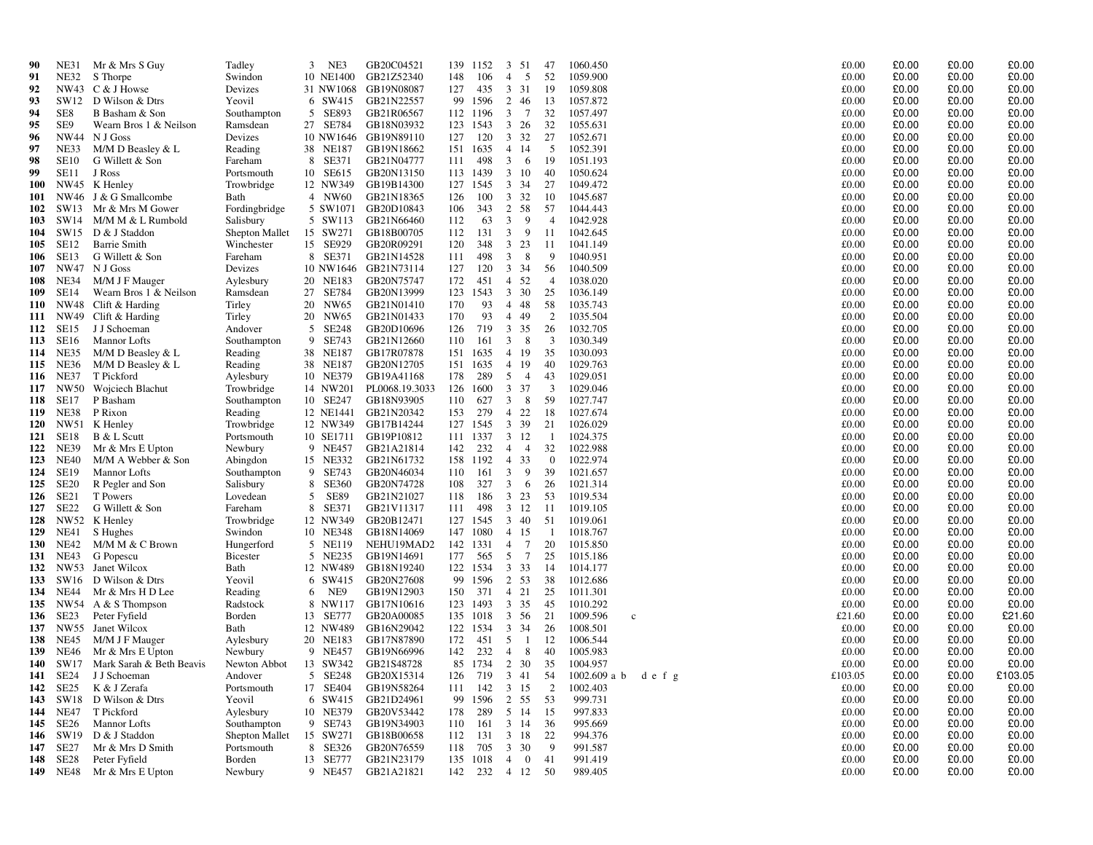| 90         | <b>NE31</b>              | Mr & Mrs S Guy           | Tadley          | 3 | NE3          | GB20C04521               | 139 | 1152     | 3              | -51             | 47                      | 1060.450                 |      | £0.00   | £0.00 | £0.00 | £0.00   |
|------------|--------------------------|--------------------------|-----------------|---|--------------|--------------------------|-----|----------|----------------|-----------------|-------------------------|--------------------------|------|---------|-------|-------|---------|
| 91         | <b>NE32</b>              | S Thorpe                 | Swindon         |   | 10 NE1400    | GB21Z52340               | 148 | 106      | $\overline{4}$ | 5               | 52                      | 1059.900                 |      | £0.00   | £0.00 | £0.00 | £0.00   |
| 92         | NW43                     | C & J Howse              | Devizes         |   | 31 NW1068    | GB19N08087               | 127 | 435      | 3              | 31              | -19                     | 1059.808                 |      | £0.00   | £0.00 | £0.00 | £0.00   |
| 93         |                          | SW12 D Wilson & Dtrs     | Yeovil          |   | 6 SW415      | GB21N22557               | 99  | 1596     | 2              | 46              | 13                      | 1057.872                 |      | £0.00   | £0.00 | £0.00 | £0.00   |
| 94         | SE8                      | B Basham & Son           | Southampton     |   | 5 SE893      | GB21R06567               |     | 112 1196 | $\overline{3}$ | $\overline{7}$  | 32                      | 1057.497                 |      | £0.00   | £0.00 | £0.00 | £0.00   |
| 95         | SE9                      | Wearn Bros 1 & Neilson   | Ramsdean        |   | 27 SE784     | GB18N03932               | 123 | 1543     | 3              | 26              | 32                      | 1055.631                 |      | £0.00   | £0.00 | £0.00 | £0.00   |
| 96         | <b>NW44</b>              | N J Goss                 | Devizes         |   |              | 10 NW1646 GB19N89110     | 127 | 120      | 3 32           |                 | 27                      | 1052.671                 |      | £0.00   | £0.00 | £0.00 | £0.00   |
| 97         | NE33                     | M/M D Beasley & L        | Reading         |   | 38 NE187     | GB19N18662               | 151 | 1635     | $\overline{4}$ | -14             | -5                      | 1052.391                 |      | £0.00   | £0.00 | £0.00 | £0.00   |
| 98         | <b>SE10</b>              | G Willett & Son          | Fareham         |   | 8 SE371      | GB21N04777               | 111 | 498      | 3              | 6               | 19                      | 1051.193                 |      | £0.00   | £0.00 | £0.00 | £0.00   |
| 99         | SE11                     | J Ross                   | Portsmouth      |   | 10 SE615     | GB20N13150               | 113 | 1439     | 3 10           |                 | 40                      | 1050.624                 |      | £0.00   | £0.00 | £0.00 | £0.00   |
| <b>100</b> | NW45                     | K Henley                 | Trowbridge      |   | 12 NW349     | GB19B14300               | 127 | 1545     | 3              | 34              | 27                      | 1049.472                 |      | £0.00   | £0.00 | £0.00 | £0.00   |
| 101        | NW46                     | J & G Smallcombe         | Bath            |   | 4 NW60       | GB21N18365               | 126 | 100      | 3              | 32              | -10                     | 1045.687                 |      | £0.00   | £0.00 | £0.00 | £0.00   |
| 102        | SW13                     | Mr & Mrs M Gower         | Fordingbridge   |   | 5 SW1071     | GB20D10843               | 106 | 343      | 2              | 58              | 57                      | 1044.443                 |      | £0.00   | £0.00 | £0.00 | £0.00   |
| 103        | SW14                     | M/M M & L Rumbold        | Salisbury       |   | 5 SW113      | GB21N66460               | 112 | 63       | 3              | 9               | $\overline{4}$          | 1042.928                 |      | £0.00   | £0.00 | £0.00 | £0.00   |
| 104        | SW15                     | D & J Staddon            | Shepton Mallet  |   | 15 SW271     | GB18B00705               | 112 | 131      | 3              | 9               | 11                      | 1042.645                 |      | £0.00   | £0.00 | £0.00 | £0.00   |
| 105        | SE <sub>12</sub>         | <b>Barrie Smith</b>      | Winchester      |   | 15 SE929     | GB20R09291               | 120 | 348      | 3              | 23              | 11                      | 1041.149                 |      | £0.00   | £0.00 | £0.00 | £0.00   |
|            |                          |                          | Fareham         |   | 8 SE371      |                          | 111 | 498      | $\mathbf{3}$   | 8               | 9                       | 1040.951                 |      | £0.00   | £0.00 | £0.00 | £0.00   |
| 106        | SE <sub>13</sub><br>NW47 | G Willett & Son          |                 |   | 10 NW1646    | GB21N14528               | 127 | 120      |                |                 |                         | 1040.509                 |      | £0.00   | £0.00 | £0.00 | £0.00   |
| 107        | <b>NE34</b>              | N J Goss                 | Devizes         |   |              | GB21N73114<br>GB20N75747 | 172 | 451      | 3 34<br>4 52   |                 | 56<br>$\overline{4}$    | 1038.020                 |      | £0.00   | £0.00 | £0.00 | £0.00   |
| 108        | SE14                     | M/M J F Mauger           | Aylesbury       |   | 20 NE183     |                          |     |          |                |                 |                         |                          |      |         |       |       |         |
| 109        |                          | Wearn Bros 1 & Neilson   | Ramsdean        |   | 27 SE784     | GB20N13999               | 123 | 1543     | 3 30           |                 | 25                      | 1036.149                 |      | £0.00   | £0.00 | £0.00 | £0.00   |
| 110        | NW48                     | Clift & Harding          | Tirley          |   | 20 NW65      | GB21N01410               | 170 | 93       | $\overline{4}$ | 48              | 58                      | 1035.743                 |      | £0.00   | £0.00 | £0.00 | £0.00   |
| 111        | NW49                     | Clift & Harding          | Tirley          |   | 20 NW65      | GB21N01433               | 170 | 93       | $\overline{4}$ | 49              | 2                       | 1035.504                 |      | £0.00   | £0.00 | £0.00 | £0.00   |
| 112        | SE15                     | J J Schoeman             | Andover         | 5 | SE248        | GB20D10696               | 126 | 719      | 3 35           |                 | 26                      | 1032.705                 |      | £0.00   | £0.00 | £0.00 | £0.00   |
| 113        | SE16                     | <b>Mannor Lofts</b>      | Southampton     | 9 | SE743        | GB21N12660               | 110 | 161      | $\mathbf{3}$   | 8               | $\overline{\mathbf{3}}$ | 1030.349                 |      | £0.00   | £0.00 | £0.00 | £0.00   |
| 114        | <b>NE35</b>              | $M/M$ D Beasley & L      | Reading         |   | 38 NE187     | GB17R07878               | 151 | 1635     | $\overline{4}$ | -19             | 35                      | 1030.093                 |      | £0.00   | £0.00 | £0.00 | £0.00   |
| 115        | <b>NE36</b>              | M/M D Beasley & L        | Reading         |   | 38 NE187     | GB20N12705               | 151 | 1635     | $\overline{4}$ | -19             | 40                      | 1029.763                 |      | £0.00   | £0.00 | £0.00 | £0.00   |
| 116        | <b>NE37</b>              | T Pickford               | Aylesbury       |   | 10 NE379     | GB19A41168               | 178 | 289      | 5              | $\overline{4}$  | 43                      | 1029.051                 |      | £0.00   | £0.00 | £0.00 | £0.00   |
| 117        | NW50                     | Wojciech Blachut         | Trowbridge      |   | 14 NW201     | PL0068.19.3033           | 126 | 1600     | 3              | 37              | 3                       | 1029.046                 |      | £0.00   | £0.00 | £0.00 | £0.00   |
| 118        | SE <sub>17</sub>         | P Basham                 | Southampton     |   | 10 SE247     | GB18N93905               | 110 | 627      | 3              | 8               | 59                      | 1027.747                 |      | £0.00   | £0.00 | £0.00 | £0.00   |
| 119        | <b>NE38</b>              | P Rixon                  | Reading         |   | 12 NE1441    | GB21N20342               | 153 | 279      | $\overline{4}$ | 22              | 18                      | 1027.674                 |      | £0.00   | £0.00 | £0.00 | £0.00   |
| <b>120</b> | <b>NW51</b>              | K Henley                 | Trowbridge      |   | 12 NW349     | GB17B14244               | 127 | 1545     | $\mathbf{3}$   | 39              | 21                      | 1026.029                 |      | £0.00   | £0.00 | £0.00 | £0.00   |
| 121        | SE <sub>18</sub>         | B & L Scutt              | Portsmouth      |   | 10 SE1711    | GB19P10812               | 111 | 1337     | 3 12           |                 | - 1                     | 1024.375                 |      | £0.00   | £0.00 | £0.00 | £0.00   |
| 122        | <b>NE39</b>              | Mr & Mrs E Upton         | Newbury         |   | 9 NE457      | GB21A21814               | 142 | 232      | $\overline{4}$ | $\overline{4}$  | 32                      | 1022.988                 |      | £0.00   | £0.00 | £0.00 | £0.00   |
| 123        | <b>NE40</b>              | M/M A Webber & Son       | Abingdon        |   | 15 NE332     | GB21N61732               | 158 | 1192     | $\overline{4}$ | 33              | $\theta$                | 1022.974                 |      | £0.00   | £0.00 | £0.00 | £0.00   |
| 124        | <b>SE19</b>              | <b>Mannor Lofts</b>      | Southampton     | 9 | SE743        | GB20N46034               | 110 | 161      | 3              | 9               | 39                      | 1021.657                 |      | £0.00   | £0.00 | £0.00 | £0.00   |
| 125        | SE <sub>20</sub>         | R Pegler and Son         | Salisbury       | 8 | <b>SE360</b> | GB20N74728               | 108 | 327      | 3              | 6               | 26                      | 1021.314                 |      | £0.00   | £0.00 | £0.00 | £0.00   |
| 126        | SE21                     | T Powers                 | Lovedean        | 5 | <b>SE89</b>  | GB21N21027               | 118 | 186      | 3              | 23              | 53                      | 1019.534                 |      | £0.00   | £0.00 | £0.00 | £0.00   |
| 127        | SE <sub>22</sub>         | G Willett & Son          | Fareham         |   | 8 SE371      | GB21V11317               | 111 | 498      | 3 12           |                 | -11                     | 1019.105                 |      | £0.00   | £0.00 | £0.00 | £0.00   |
| 128        | NW52                     | K Henley                 | Trowbridge      |   | 12 NW349     | GB20B12471               | 127 | 1545     | 3              | -40             | 51                      | 1019.061                 |      | £0.00   | £0.00 | £0.00 | £0.00   |
| 129        | <b>NE41</b>              | S Hughes                 | Swindon         |   | 10 NE348     | GB18N14069               | 147 | 1080     | 4 15           |                 | -1                      | 1018.767                 |      | £0.00   | £0.00 | £0.00 | £0.00   |
| <b>130</b> | <b>NE42</b>              | M/M M & C Brown          | Hungerford      |   | 5 NE119      | NEHU19MAD2               | 142 | 1331     | $\overline{4}$ | $\overline{7}$  | 20                      | 1015.850                 |      | £0.00   | £0.00 | £0.00 | £0.00   |
| 131        | NE43                     | G Popescu                | <b>Bicester</b> |   | 5 NE235      | GB19N14691               | 177 | 565      | 5              | $7\phantom{.0}$ | 25                      | 1015.186                 |      | £0.00   | £0.00 | £0.00 | £0.00   |
| 132        | NW53                     | Janet Wilcox             | Bath            |   | 12 NW489     | GB18N19240               | 122 | 1534     | 3 3 3          |                 | -14                     | 1014.177                 |      | £0.00   | £0.00 | £0.00 | £0.00   |
| 133        | SW16                     | D Wilson & Dtrs          | Yeovil          |   | 6 SW415      | GB20N27608               | 99  | 1596     | 2 53           |                 | 38                      | 1012.686                 |      | £0.00   | £0.00 | £0.00 | £0.00   |
| 134        | NE44                     | Mr & Mrs H D Lee         | Reading         | 6 | NE9          | GB19N12903               | 150 | 371      | $\overline{4}$ | 21              | 25                      | 1011.301                 |      | £0.00   | £0.00 | £0.00 | £0.00   |
| 135        | NW54                     | A & S Thompson           | Radstock        |   | 8 NW117      | GB17N10616               | 123 | 1493     | 3              | 35              | 45                      | 1010.292                 |      | £0.00   | £0.00 | £0.00 | £0.00   |
| 136        | SE <sub>23</sub>         | Peter Fyfield            | Borden          |   | 13 SE777     | GB20A00085               | 135 | 1018     | 3 56           |                 | 21                      | 1009.596<br>$\mathbf{c}$ |      | £21.60  | £0.00 | £0.00 | £21.60  |
| 137        | NW55                     | Janet Wilcox             | Bath            |   | 12 NW489     | GB16N29042               | 122 | 1534     | 3 3 4          |                 | -26                     | 1008.501                 |      | £0.00   | £0.00 | £0.00 | £0.00   |
| 138        | NE45                     | M/M J F Mauger           | Aylesbury       |   | 20 NE183     | GB17N87890               | 172 | 451      | 5              | 1               | 12                      | 1006.544                 |      | £0.00   | £0.00 | £0.00 | £0.00   |
| 139        | <b>NE46</b>              | Mr & Mrs E Upton         | Newbury         |   | 9 NE457      | GB19N66996               | 142 | 232      | $\overline{4}$ | 8               | 40                      | 1005.983                 |      | £0.00   | £0.00 | £0.00 | £0.00   |
| 140        | SW17                     | Mark Sarah & Beth Beavis | Newton Abbot    |   | 13 SW342     | GB21S48728               | 85  | 1734     | 2 30           |                 | 35                      | 1004.957                 |      | £0.00   | £0.00 | £0.00 | £0.00   |
| 141        | SE24                     | J J Schoeman             | Andover         |   | 5 SE248      | GB20X15314               | 126 | 719      | 3 41           |                 | 54                      | $1002.609$ a b           | defg | £103.05 | £0.00 | £0.00 | £103.05 |
| 142        | SE <sub>25</sub>         | K & J Zerafa             | Portsmouth      |   | 17 SE404     | GB19N58264               | 111 | 142      | 3 15           |                 | 2                       | 1002.403                 |      | £0.00   | £0.00 | £0.00 | £0.00   |
| 143        | SW18                     | D Wilson & Dtrs          | Yeovil          |   | 6 SW415      | GB21D24961               | 99  | 1596     | 2 55           |                 | 53                      | 999.731                  |      | £0.00   | £0.00 | £0.00 | £0.00   |
| 144        | <b>NE47</b>              | T Pickford               | Aylesbury       |   | 10 NE379     | GB20V53442               | 178 | 289      | 5 14           |                 | 15                      | 997.833                  |      | £0.00   | £0.00 | £0.00 | £0.00   |
| 145        | SE <sub>26</sub>         | <b>Mannor Lofts</b>      | Southampton     |   | 9 SE743      | GB19N34903               | 110 | 161      | 3 14           |                 | 36                      | 995.669                  |      | £0.00   | £0.00 | £0.00 | £0.00   |
| 146        | SW19                     | D & J Staddon            | Shepton Mallet  |   | 15 SW271     | GB18B00658               | 112 | 131      | 3 18           |                 | 22                      | 994.376                  |      | £0.00   | £0.00 | £0.00 | £0.00   |
| 147        | SE <sub>27</sub>         | Mr & Mrs D Smith         | Portsmouth      |   | 8 SE326      | GB20N76559               | 118 | 705      | $\mathbf{3}$   | 30              | 9                       | 991.587                  |      | £0.00   | £0.00 | £0.00 | £0.00   |
| 148        | SE <sub>28</sub>         | Peter Fyfield            | Borden          |   | 13 SE777     | GB21N23179               | 135 | 1018     | $\overline{4}$ | $\mathbf{0}$    | 41                      | 991.419                  |      | £0.00   | £0.00 | £0.00 | £0.00   |
| 149        | NE48                     | Mr & Mrs E Upton         | Newbury         |   | 9 NE457      | GB21A21821               | 142 | 232      | 4 12           |                 | 50                      | 989.405                  |      | £0.00   | £0.00 | £0.00 | £0.00   |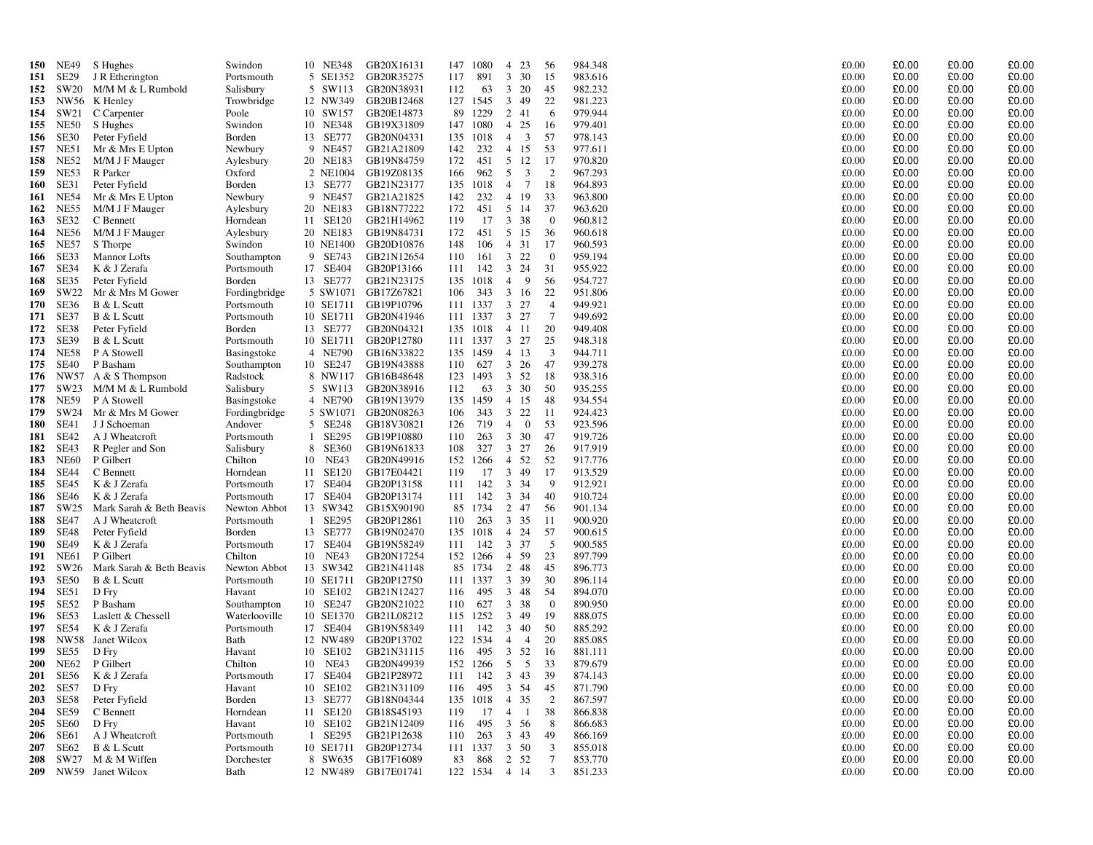| 150        | <b>NE49</b>                | S Hughes                      | Swindon                  |              | 10 NE348             | GB20X16131               | 147        | 1080            | $\overline{4}$                   | 23                      | 56              | 984.348            | £0.00          | £0.00          | £0.00          | £0.00          |
|------------|----------------------------|-------------------------------|--------------------------|--------------|----------------------|--------------------------|------------|-----------------|----------------------------------|-------------------------|-----------------|--------------------|----------------|----------------|----------------|----------------|
| 151        | <b>SE29</b>                | J R Etherington               | Portsmouth               |              | 5 SE1352             | GB20R35275               | 117        | 891             | $3 \quad 30$                     |                         | 15              | 983.616            | £0.00          | £0.00          | £0.00          | £0.00          |
| 152        | SW20                       | M/M M & L Rumbold             | Salisbury                |              | 5 SW113              | GB20N38931               | 112        | 63              | 3                                | 20                      | 45              | 982.232            | £0.00          | £0.00          | £0.00          | £0.00          |
| 153        |                            | NW56 K Henley                 | Trowbridge               |              | 12 NW349             | GB20B12468               |            | 127 1545        | $\mathbf{3}$                     | 49                      | 22              | 981.223            | £0.00          | £0.00          | £0.00          | £0.00          |
| 154        | SW21                       | C Carpenter                   | Poole                    |              | 10 SW157             | GB20E14873               | 89         | 1229            | 2 41                             |                         | 6               | 979.944            | £0.00          | £0.00          | £0.00          | £0.00          |
| 155        | <b>NE50</b>                | S Hughes                      | Swindon                  |              | 10 NE348             | GB19X31809               | 147        | 1080            | 4 25                             |                         | 16              | 979.401            | £0.00          | £0.00          | £0.00          | £0.00          |
| 156        | SE30                       | Peter Fyfield                 | Borden                   |              | 13 SE777             | GB20N04331               |            | 135 1018        | $\overline{4}$                   | $\overline{\mathbf{3}}$ | 57              | 978.143            | £0.00          | £0.00          | £0.00          | £0.00          |
| 157        | <b>NE51</b>                | Mr & Mrs E Upton              | Newbury                  |              | 9 NE457              | GB21A21809               | 142        | 232             | $\overline{4}$                   | 15                      | 53              | 977.611            | £0.00          | £0.00          | £0.00          | £0.00          |
| 158        | <b>NE52</b>                | M/M J F Mauger                | Aylesbury                |              | 20 NE183             | GB19N84759               | 172        | 451             | 5 12                             |                         | 17              | 970.820            | £0.00          | £0.00          | £0.00          | £0.00          |
| 159        | <b>NE53</b>                | R Parker                      | Oxford                   |              | 2 NE1004             | GB19Z08135               | 166        | 962             | 5                                | $\overline{3}$          | 2               | 967.293            | £0.00          | £0.00          | £0.00          | £0.00          |
| 160        | SE31                       | Peter Fyfield                 | Borden                   |              | 13 SE777             | GB21N23177               | 135        | 1018            | $\overline{4}$                   | 7                       | 18              | 964.893            | £0.00          | £0.00          | £0.00          | £0.00          |
| 161        | <b>NE54</b>                | Mr & Mrs E Upton              | Newbury                  |              | 9 NE457              | GB21A21825               | 142        | 232             | $\overline{4}$                   | 19                      | 33              | 963.800            | £0.00          | £0.00          | £0.00          | £0.00          |
| 162        | <b>NE55</b>                | M/M J F Mauger                | Aylesbury                |              | 20 NE183             | GB18N77222               | 172        | 451             | 5 14                             |                         | 37              | 963.620            | £0.00          | £0.00          | £0.00          | £0.00          |
| 163        | SE32                       | C Bennett                     | Horndean                 |              | 11 SE120             | GB21H14962               | 119        | 17              | 3 38                             |                         | $\overline{0}$  | 960.812            | £0.00          | £0.00          | £0.00          | £0.00          |
| 164        | <b>NE56</b>                | M/M J F Mauger                | Aylesbury                |              | 20 NE183             | GB19N84731               | 172        | 451             | 5 15                             |                         | 36              | 960.618            | £0.00          | £0.00          | £0.00          | £0.00          |
| 165        | NE57                       | S Thorpe                      | Swindon                  |              | 10 NE1400            | GB20D10876               | 148        | 106             | 4                                | 31                      | 17              | 960.593            | £0.00          | £0.00          | £0.00          | £0.00          |
| 166        | SE33<br>SE34               | <b>Mannor Lofts</b>           | Southampton              |              | 9 SE743<br>17 SE404  | GB21N12654               | 110        | 161<br>142      | 3<br>$\mathbf{3}$                | 22                      | $\overline{0}$  | 959.194<br>955.922 | £0.00<br>£0.00 | £0.00<br>£0.00 | £0.00<br>£0.00 | £0.00<br>£0.00 |
| 167        | SE35                       | K & J Zerafa<br>Peter Fyfield | Portsmouth<br>Borden     |              | 13 SE777             | GB20P13166<br>GB21N23175 | 111<br>135 | 1018            | $\overline{4}$                   | 24<br>$\overline{9}$    | 31<br>56        | 954.727            | £0.00          | £0.00          | £0.00          | £0.00          |
| 168<br>169 | SW22                       | Mr & Mrs M Gower              | Fordingbridge            |              | 5 SW1071             | GB17Z67821               | 106        | 343             | 3                                | 16                      | 22              | 951.806            | £0.00          | £0.00          | £0.00          | £0.00          |
| 170        | SE36                       | B & L Scutt                   | Portsmouth               |              | 10 SE1711            | GB19P10796               | 111        | 1337            | $3 \t27$                         |                         | $\overline{4}$  | 949.921            | £0.00          | £0.00          | £0.00          | £0.00          |
| 171        | SE37                       | B & L Scutt                   | Portsmouth               |              | 10 SE1711            | GB20N41946               | 111        | 1337            | $3 \t27$                         |                         | $7\phantom{.0}$ | 949.692            | £0.00          | £0.00          | £0.00          | £0.00          |
| 172        | SE38                       | Peter Fyfield                 | Borden                   |              | 13 SE777             | GB20N04321               | 135        | 1018            | 4 11                             |                         | 20              | 949.408            | £0.00          | £0.00          | £0.00          | £0.00          |
| 173        | <b>SE39</b>                | B & L Scutt                   | Portsmouth               |              | 10 SE1711            | GB20P12780               |            | 111 1337        | $3 \t27$                         |                         | 25              | 948.318            | £0.00          | £0.00          | £0.00          | £0.00          |
| 174        | <b>NE58</b>                | P A Stowell                   | Basingstoke              |              | 4 NE790              | GB16N33822               | 135        | 1459            | $\overline{4}$                   | 13                      | 3               | 944.711            | £0.00          | £0.00          | £0.00          | £0.00          |
| 175        | <b>SE40</b>                | P Basham                      | Southampton              |              | 10 SE247             | GB19N43888               | 110        | 627             | $\mathfrak{Z}$                   | 26                      | 47              | 939.278            | £0.00          | £0.00          | £0.00          | £0.00          |
| 176        | NW57                       | A & S Thompson                | Radstock                 |              | 8 NW117              | GB16B48648               | 123        | 1493            | 3 52                             |                         | 18              | 938.316            | £0.00          | £0.00          | £0.00          | £0.00          |
| 177        | SW23                       | M/M M & L Rumbold             | Salisbury                |              | 5 SW113              | GB20N38916               | 112        | 63              | 3 30                             |                         | 50              | 935.255            | £0.00          | £0.00          | £0.00          | £0.00          |
| 178        | <b>NE59</b>                | P A Stowell                   | Basingstoke              |              | 4 NE790              | GB19N13979               | 135        | 1459            | $\overline{4}$                   | 15                      | 48              | 934.554            | £0.00          | £0.00          | £0.00          | £0.00          |
| 179        | SW24                       | Mr & Mrs M Gower              | Fordingbridge            |              | 5 SW1071             | GB20N08263               | 106        | 343             | 3 22                             |                         | 11              | 924.423            | £0.00          | £0.00          | £0.00          | £0.00          |
| 180        | <b>SE41</b>                | J J Schoeman                  | Andover                  |              | 5 SE248              | GB18V30821               | 126        | 719             | $\overline{4}$                   | $\overline{0}$          | 53              | 923.596            | £0.00          | £0.00          | £0.00          | £0.00          |
| 181        | SE42                       | A J Wheatcroft                | Portsmouth               | $\mathbf{1}$ | SE295                | GB19P10880               | 110        | 263             | 3 <sup>7</sup>                   | 30                      | 47              | 919.726            | £0.00          | £0.00          | £0.00          | £0.00          |
| 182        | SE43                       | R Pegler and Son              | Salisbury                |              | 8 SE360              | GB19N61833               | 108        | 327             | $\mathfrak{Z}$                   | 27                      | 26              | 917.919            | £0.00          | £0.00          | £0.00          | £0.00          |
| 183        | <b>NE60</b>                | P Gilbert                     | Chilton                  |              | 10 NE43              | GB20N49916               | 152        | 1266            | $\overline{4}$                   | 52                      | 52              | 917.776            | £0.00          | £0.00          | £0.00          | £0.00          |
| 184        | <b>SE44</b>                | C Bennett                     | Horndean                 |              | 11 SE120             | GB17E04421               | 119        | 17              | 3 <sup>7</sup>                   | 49                      | 17              | 913.529            | £0.00          | £0.00          | £0.00          | £0.00          |
| 185        | SE45                       | K & J Zerafa                  | Portsmouth               |              | 17 SE404             | GB20P13158               | 111        | 142             | 3 3 4                            |                         | 9               | 912.921            | £0.00          | £0.00          | £0.00          | £0.00          |
| 186        | <b>SE46</b>                | K & J Zerafa                  | Portsmouth               |              | 17 SE404             | GB20P13174               | 111        | 142             | 3                                | 34                      | 40              | 910.724            | £0.00          | £0.00          | £0.00          | £0.00          |
| 187        | SW <sub>25</sub>           | Mark Sarah & Beth Beavis      | Newton Abbot             |              | 13 SW342             | GB15X90190               | 85         | 1734            | 2                                | 47                      | 56              | 901.134            | £0.00          | £0.00          | £0.00          | £0.00          |
| 188<br>189 | <b>SE47</b>                | A J Wheatcroft                | Portsmouth               |              | 1 SE295              | GB20P12861               | 110        | 263             | 3 35                             |                         | 11<br>57        | 900.920            | £0.00<br>£0.00 | £0.00<br>£0.00 | £0.00<br>£0.00 | £0.00<br>£0.00 |
| 190        | <b>SE48</b><br><b>SE49</b> | Peter Fyfield<br>K & J Zerafa | Borden<br>Portsmouth     |              | 13 SE777<br>17 SE404 | GB19N02470<br>GB19N58249 | 135<br>111 | 1018<br>142     | 4 24<br>3                        | 37                      | -5              | 900.615<br>900.585 | £0.00          | £0.00          | £0.00          | £0.00          |
| 191        | NE61                       | P Gilbert                     | Chilton                  |              | 10 NE43              | GB20N17254               | 152        | 1266            | 4 59                             |                         | 23              | 897.799            | £0.00          | £0.00          | £0.00          | £0.00          |
| 192        | SW26                       | Mark Sarah & Beth Beavis      | Newton Abbot             |              | 13 SW342             | GB21N41148               | 85         | 1734            | 2                                | 48                      | 45              | 896.773            | £0.00          | £0.00          | £0.00          | £0.00          |
| 193        | SE50                       | B & L Scutt                   | Portsmouth               |              | 10 SE1711            | GB20P12750               | 111        | 1337            | 3 39                             |                         | 30              | 896.114            | £0.00          | £0.00          | £0.00          | £0.00          |
| 194        | SE51                       | D Fry                         | Havant                   |              | 10 SE102             | GB21N12427               | 116        | 495             | 3                                | 48                      | -54             | 894.070            | £0.00          | £0.00          | £0.00          | £0.00          |
| 195        | SE52                       | P Basham                      | Southampton              |              | 10 SE247             | GB20N21022               | 110        | 627             | 3 38                             |                         | $\overline{0}$  | 890.950            | £0.00          | £0.00          | £0.00          | £0.00          |
| 196        | SE53                       | Laslett & Chessell            | Waterlooville            |              | 10 SE1370            | GB21L08212               | 115        | 1252            | 3                                | 49                      | 19              | 888.075            | £0.00          | £0.00          | £0.00          | £0.00          |
| 197        | <b>SE54</b>                | K & J Zerafa                  | Portsmouth               |              | 17 SE404             | GB19N58349               | 111        | 142             | 340                              |                         | 50              | 885.292            | £0.00          | £0.00          | £0.00          | £0.00          |
| 198        | <b>NW58</b>                | Janet Wilcox                  | Bath                     |              | 12 NW489             | GB20P13702               | 122        | 1534            | $\overline{4}$                   | $\overline{4}$          | 20              | 885.085            | £0.00          | £0.00          | £0.00          | £0.00          |
| 199        | SE55                       | D Fry                         | Havant                   |              | 10 SE102             | GB21N31115               | 116        | 495             | $\overline{3}$                   | 52                      | -16             | 881.111            | £0.00          | £0.00          | £0.00          | £0.00          |
| <b>200</b> | <b>NE62</b>                | P Gilbert                     | Chilton                  |              | 10 NE43              | GB20N49939               | 152        | 1266            | 5                                | 5                       | 33              | 879.679            | £0.00          | £0.00          | £0.00          | £0.00          |
| <b>201</b> | SE56                       | K & J Zerafa                  | Portsmouth               |              | 17 SE404             | GB21P28972               | 111        | 142             | 343                              |                         | 39              | 874.143            | £0.00          | £0.00          | £0.00          | £0.00          |
| 202        | SE57                       | D Fry                         | Havant                   |              | 10 SE102             | GB21N31109               | 116        | 495             | $\mathbf{3}$                     | 54                      | 45              | 871.790            | £0.00          | £0.00          | £0.00          | £0.00          |
| 203        | <b>SE58</b>                | Peter Fyfield                 | Borden                   |              | 13 SE777             | GB18N04344               | 135        | 1018            | $\overline{4}$                   | 35                      | 2               | 867.597            | £0.00          | £0.00          | £0.00          | £0.00          |
| 204        | <b>SE59</b>                | C Bennett                     | Horndean                 |              | 11 SE120             | GB18S45193               | 119        | 17              | $\overline{4}$                   | - 1                     | 38              | 866.838            | £0.00          | £0.00          | £0.00          | £0.00          |
| 205        | SE60                       | D Fry                         | Havant                   |              | 10 SE102             | GB21N12409               | 116        | 495             | 3 56                             |                         | 8               | 866.683            | £0.00          | £0.00          | £0.00          | £0.00          |
| 206        | SE61                       | A J Wheatcroft                | Portsmouth               |              | 1 SE295              | GB21P12638               | 110        | 263             | $3 \quad 43$                     |                         | 49<br>3         | 866.169            | £0.00          | £0.00          | £0.00          | £0.00          |
| 207<br>208 | SE62<br>SW27               | B & L Scutt                   | Portsmouth<br>Dorchester |              | 10 SE1711            | GB20P12734<br>GB17F16089 | 83         | 111 1337<br>868 | 3 <sup>7</sup><br>$\overline{2}$ | 50<br>52                | 7               | 855.018<br>853.770 | £0.00<br>£0.00 | £0.00<br>£0.00 | £0.00<br>£0.00 | £0.00<br>£0.00 |
| 209        | NW59                       | M & M Wiffen<br>Janet Wilcox  | Bath                     |              | 8 SW635<br>12 NW489  | GB17E01741               |            | 122 1534        | 4 14                             |                         | 3               | 851.233            | £0.00          | £0.00          | £0.00          | £0.00          |
|            |                            |                               |                          |              |                      |                          |            |                 |                                  |                         |                 |                    |                |                |                |                |